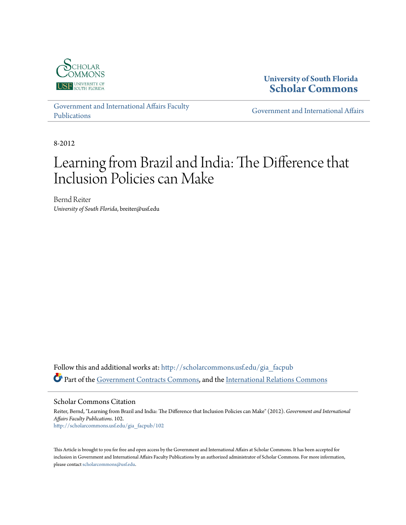

**University of South Florida [Scholar Commons](http://scholarcommons.usf.edu?utm_source=scholarcommons.usf.edu%2Fgia_facpub%2F102&utm_medium=PDF&utm_campaign=PDFCoverPages)**

[Government and International Affairs Faculty](http://scholarcommons.usf.edu/gia_facpub?utm_source=scholarcommons.usf.edu%2Fgia_facpub%2F102&utm_medium=PDF&utm_campaign=PDFCoverPages) [Publications](http://scholarcommons.usf.edu/gia_facpub?utm_source=scholarcommons.usf.edu%2Fgia_facpub%2F102&utm_medium=PDF&utm_campaign=PDFCoverPages)

[Government and International Affairs](http://scholarcommons.usf.edu/gia?utm_source=scholarcommons.usf.edu%2Fgia_facpub%2F102&utm_medium=PDF&utm_campaign=PDFCoverPages)

8-2012

# Learning from Brazil and India: The Difference that Inclusion Policies can Make

Bernd Reiter *University of South Florida*, breiter@usf.edu

Follow this and additional works at: [http://scholarcommons.usf.edu/gia\\_facpub](http://scholarcommons.usf.edu/gia_facpub?utm_source=scholarcommons.usf.edu%2Fgia_facpub%2F102&utm_medium=PDF&utm_campaign=PDFCoverPages) Part of the [Government Contracts Commons](http://network.bepress.com/hgg/discipline/845?utm_source=scholarcommons.usf.edu%2Fgia_facpub%2F102&utm_medium=PDF&utm_campaign=PDFCoverPages), and the [International Relations Commons](http://network.bepress.com/hgg/discipline/389?utm_source=scholarcommons.usf.edu%2Fgia_facpub%2F102&utm_medium=PDF&utm_campaign=PDFCoverPages)

Scholar Commons Citation

Reiter, Bernd, "Learning from Brazil and India: The Difference that Inclusion Policies can Make" (2012). *Government and International Affairs Faculty Publications*. 102. [http://scholarcommons.usf.edu/gia\\_facpub/102](http://scholarcommons.usf.edu/gia_facpub/102?utm_source=scholarcommons.usf.edu%2Fgia_facpub%2F102&utm_medium=PDF&utm_campaign=PDFCoverPages)

This Article is brought to you for free and open access by the Government and International Affairs at Scholar Commons. It has been accepted for inclusion in Government and International Affairs Faculty Publications by an authorized administrator of Scholar Commons. For more information, please contact [scholarcommons@usf.edu.](mailto:scholarcommons@usf.edu)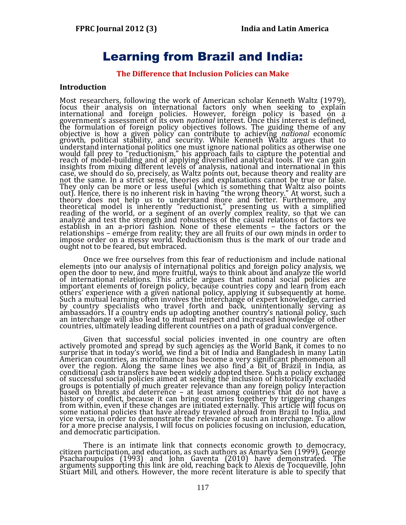# Learning from Brazil and India:

#### **The Difference that Inclusion Policies can Make**

#### **Introduction**

Most researchers, following the work of American scholar Kenneth Waltz (1979), focus their analysis on international factors only when seeking to explain international and foreign policies. However, foreign policy is based on a government's assessment of its own *national* interest. Once this interest is defined, the formulation of foreign policy objectives follows. The guiding theme of any objective is how a given policy can contribute to achieving *national* economic growth, political stability, and security. While Kenneth Waltz argues that to understand international politics one must ignore national politics as otherwise one would fall prey to "reductionism," his approach fails to capture the potential and reach of model-building and of applying diversified analytical tools. If we can gain insights from mixing different levels of analysis, national and international in this case, we should do so, precisely, as Waltz points out, because theory and reality are not the same. In a strict sense, theories and explanations cannot be true or false. They only can be more or less useful (which is something that Waltz also points out). Hence, there is no inherent risk in having "the wrong theory." At worst, such a theory does not help us to understand more and better. Furthermore, any theoretical model is inherently "reductionist," presenting us with a simplified reading of the world, or a segment of an overly complex reality, so that we can analyze and test the strength and robustness of the causal relations of factors we establish in an a-priori fashion. None of these elements – the factors or the relationships – emerge from reality; they are all fruits of our own minds in order to impose order on a messy world. Reductionism thus is the mark of our trade and ought not to be feared, but embraced.

Once we free ourselves from this fear of reductionism and include national elements into our analysis of international politics and foreign policy analysis, we open the door to new, and more fruitful, ways to think about and analyze the world of international relations. This article argues that national social policies are important elements of foreign policy, because countries copy and learn from each others' experience with a given national policy, applying it subsequently at home. Such a mutual learning often involves the interchange of expert knowledge, carried by country specialists who travel forth and back, unintentionally serving as ambassadors. If a country ends up adopting another country's national policy, such an interchange will also lead to mutual respect and increased knowledge of other countries, ultimately leading different countries on a path of gradual convergence.

Given that successful social policies invented in one country are often actively promoted and spread by such agencies as the World Bank, it comes to no surprise that in today's world, we find a bit of India and Bangladesh in many Latin American countries, as microfinance has become a very significant phenomenon all over the region. Along the same lines we also find a bit of Brazil in India, as conditional cash transfers have been widely adopted there. Such a policy exchange of successful social policies aimed at seeking the inclusion of historically excluded groups is potentially of much greater relevance than any foreign policy interaction based on threats and deterrence – at least among countries that do not have a history of conflict, because it can bring countries together by triggering changes from within, even if these changes are initiated externally. This article will focus on some national policies that have already traveled abroad from Brazil to India, and vice versa, in order to demonstrate the relevance of such an interchange. To allow for a more precise analysis, I will focus on policies focusing on inclusion, education, and democratic participation.

There is an intimate link that connects economic growth to democracy, citizen participation, and education, as such authors as Amartya Sen (1999), George Psacharoupulos (1993) and John Gaventa (2010) have demonstrated. The arguments supporting this link are old, reaching back to Alexis de Tocqueville, John Stuart Mill, and others. However, the more recent literature is able to specify that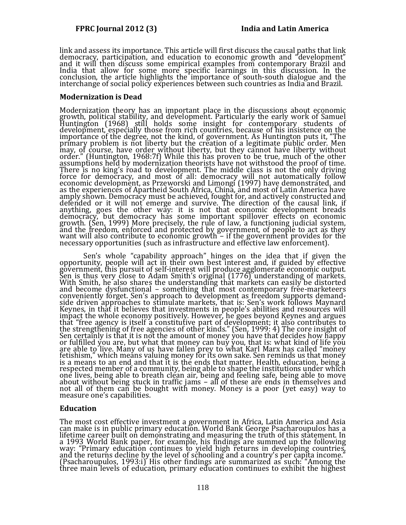link and assess its importance. This article will first discuss the causal paths that link democracy, participation, and education to economic growth and "development" and it will then discuss some empirical examples from contemporary Brazil and India that allow for some more specific learnings in this discussion. In the conclusion, the article highlights the importance of south-south dialogue and the interchange of social policy experiences between such countries as India and Brazil.

## **Modernization is Dead**

Modernization theory has an important place in the discussions about economic growth, political stability, and development. Particularly the early work of Samuel Huntington (1968) still holds some insight for contemporary students of development, especially those from rich countries, because of his insistence on the importance of the degree, not the kind, of government. As Huntington puts it, "The primary problem is not liberty but the creation of a legitimate public order. Men may, of course, have order without liberty, but they cannot have liberty without order." (Huntington, 1968:7f) While this has proven to be true, much of the other assumptions held by modernization theorists have not withstood the proof of time. There is no king's road to development. The middle class is not the only driving force for democracy, and most of all: democracy will not automatically follow economic development, as Przeworski and Limongi (1997) have demonstrated, and as the experiences of Apartheid South Africa, China, and most of Latin America have amply shown. Democracy must be achieved, fought for, and actively constructed and defended or it will not emerge and survive. The direction of the causal link, if anything, goes the other way: it is not that economic development breads democracy, but democracy has some important spillover effects on economic growth. (Sen, 1999) More precisely, the rule of law, a functioning judicial system, and the freedom, enforced and protected by government, of people to act as they want will also contribute to economic growth – if the government provides for the necessary opportunities (such as infrastructure and effective law enforcement).

Sen's whole "capability approach" hinges on the idea that if given the opportunity, people will act in their own best interest and, if guided by effective government, this pursuit of self-interest will produce agglomerate economic output. Sen is thus very close to Adam Smith's original (1776) understanding of markets. With Smith, he also shares the understanding that markets can easily be distorted and become dysfunctional – something that most contemporary free-marketeers conveniently forget. Sen's approach to development as freedom supports demandside driven approaches to stimulate markets, that is: Sen's work follows Maynard Keynes, in that it believes that investments in people's abilities and resources will impact the whole economy positively. However, he goes beyond Keynes and argues that "free agency is itself a constitutive part of development; it also contributes to the strengthening of free agencies of other kinds." (Sen, 1999: 4) The core insight of Sen certainly is that it is not the amount of money you have that decides how happy or fulfilled you are, but what that money can buy you, that is: what kind of life you are able to live. Many of us have fallen prey to what Karl Marx has called "money fetishism," which means valuing money for its own sake. Sen reminds us that money is a means to an end and that it is the ends that matter. Health, education, being a respected member of a community, being able to shape the institutions under which one lives, being able to breath clean air, being and feeling safe, being able to move about without being stuck in traffic jams – all of these are ends in themselves and not all of them can be bought with money. Money is a poor (yet easy) way to measure one's capabilities.

# **Education**

The most cost effective investment a government in Africa, Latin America and Asia can make is in public primary education. World Bank George Psacharoupulos has a lifetime career built on demonstrating and measuring the truth of this statement. In a 1993 World Bank paper, for example, his findings are summed up the following way: "Primary education continues to yield high returns in developing countries, and the returns decline by the level of schooling and a country's per capita income." (Psacharoupulos, 1993:i) His other findings are summarized as such: "Among the three main levels of education, primary education continues to exhibit the highest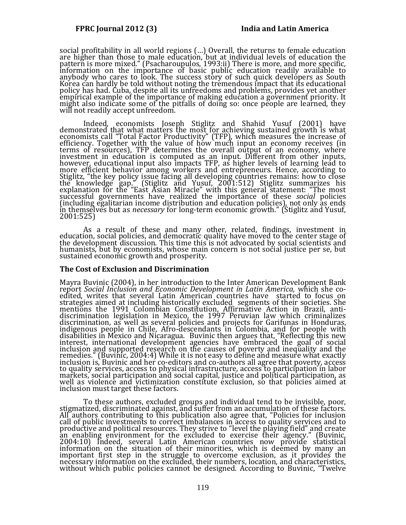social profitability in all world regions (…) Overall, the returns to female education are higher than those to male education, but at individual levels of education the pattern is more mixed." (Psacharoupulos, 1993:ii) There is more, and more specific, information on the importance of basic public education readily available to anybody who cares to look. The success story of such quick developers as South Korea can hardly be told without noting the tremendous impact that its educational policy has had. Cuba, despite all its unfreedoms and problems, provides yet another empirical example of the importance of making education a government priority. It might also indicate some of the pitfalls of doing so: once people are learned, they will not readily accept unfreedom.

Indeed, economists Joseph Stiglitz and Shahid Yusuf (2001) have demonstrated that what matters the most for achieving sustained growth is what economists call "Total Factor Productivity" (TFP), which measures the increase of efficiency. Together with the value of how much input an economy receives (in terms of resources), TFP determines the overall output of an economy, where investment in education is computed as an input. Different from other inputs, however, educational input also impacts TFP, as higher levels of learning lead to more efficient behavior among workers and entrepreneurs. Hence, according to Stiglitz, "the key policy issue facing all developing countries remains: how to close the knowledge gap." (Stiglitz and Yusuf, 2001:512) Stiglitz summarizes his explanation for the "East Asian Miracle" with this general statement: "The most successful governments have realized the importance of these *social* policies (including egalitarian income distribution and education policies), not only as ends in themselves but as *necessary* for long-term economic growth." (Stiglitz and Yusuf, 2001:525)

As a result of these and many other, related, findings, investment in education, social policies, and democratic quality have moved to the center stage of the development discussion. This time this is not advocated by social scientists and humanists, but by economists, whose main concern is not social justice per se, but sustained economic growth and prosperity.

#### **The Cost of Exclusion and Discrimination**

Mayra Buvinic (2004), in her introduction to the Inter American Development Bank report *Social Inclusion and Economic Development in Latin America,* which she coedited, writes that several Latin American countries have started to focus on strategies aimed at including historically excluded segments of their societies. She mentions the 1991 Colombian Constitution, Affirmative Action in Brazil, antidiscrimination legislation in Mexico, the 1997 Peruvian law which criminalizes discrimination, as well as several policies and projects for Garifunas in Honduras, indigenous people in Chile, Afro-descendants in Colombia, and for people with disabilities in Mexico and Nicaragua. Buvinic then argues that, "Reflecting this new interest, international development agencies have embraced the goal of social inclusion and supported research on the causes of poverty and inequality and the remedies." (Buvinic, 2004:4) While it is not easy to define and measure what exactly inclusion is, Buvinic and her co-editors and co-authors all agree that poverty, access to quality services, access to physical infrastructure, access to participation in labor markets, social participation and social capital, justice and political participation, as well as violence and victimization constitute exclusion, so that policies aimed at inclusion must target these factors.

To these authors, excluded groups and individual tend to be invisible, poor, stigmatized, discriminated against, and suffer from an accumulation of these factors. All authors contributing to this publication also agree that, "Policies for inclusion call of public investments to correct imbalances in access to quality services and to productive and political resources. They strive to "level the playing field" and create an enabling environment for the excluded to exercise their agency." (Buvinic, 2004:10) Indeed, several Latin American countries now provide statistical information on the situation of their minorities, which is deemed by many an important first step in the struggle to overcome exclusion, as it provides the necessary information on the excluded, their numbers, location, and characteristics, without which public policies cannot be designed. According to Buvinic, "Twelve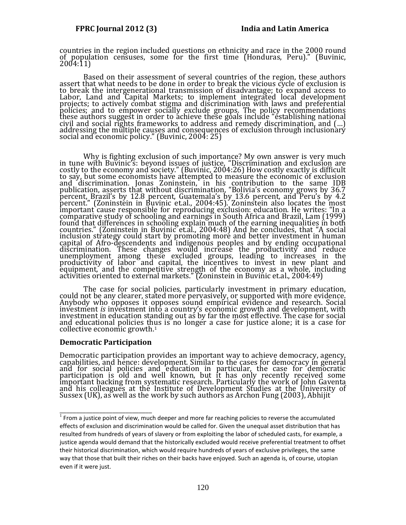countries in the region included questions on ethnicity and race in the 2000 round of population censuses, some for the first time (Honduras, Peru)." (Buvinic, 2004:11)

Based on their assessment of several countries of the region, these authors assert that what needs to be done in order to break the vicious cycle of exclusion is to break the intergenerational transmission of disadvantage; to expand access to Labor, Land and Capital Markets; to implement integrated local development projects; to actively combat stigma and discrimination with laws and preferential policies; and to empower socially exclude groups. The policy recommendations these authors suggest in order to achieve these goals include "establishing national civil and social rights frameworks to address and remedy discrimination, and (…) addressing the multiple causes and consequences of exclusion through inclusionary social and economic policy." (Buvinic, 2004: 25)

Why is fighting exclusion of such importance? My own answer is very much in tune with Buvinic's: beyond issues of justice, "Discrimination and exclusion are costly to the economy and society." (Buvinic, 2004:26) How costly exactly is difficult to say, but some economists have attempted to measure the economic of exclusion and discrimination. Jonas Zoninstein, in his contribution to the same IDB publication, asserts that without discrimination, "Bolivia's economy grows by 36.7 percent, Brazil's by 12.8 percent, Guatemala's by 13.6 percent, and Peru's by 4.2 percent." (Zoninstein in Buvinic et.al., 2004:45). Zoninstein also locates the most important cause responsible for reproducing exclusion: education. He writes: "In a comparative study of schooling and earnings in South Africa and Brazil, Lam (1999) found that differences in schooling explain much of the earning inequalities in both countries." (Zoninstein in Buvinic et.al., 2004:48) And he concludes, that "A social inclusion strategy could start by promoting more and better investment in human capital of Afro-descendents and indigenous peoples and by ending occupational discrimination. These changes would increase the productivity and reduce unemployment among these excluded groups, leading to increases in the productivity of labor and capital, the incentives to invest in new plant and equipment, and the competitive strength of the economy as a whole, including activities oriented to external markets." (Zoninstein in Buvinic et.al., 2004:49)

The case for social policies, particularly investment in primary education, could not be any clearer, stated more pervasively, or supported with more evidence. Anybody who opposes it opposes sound empirical evidence and research. Social investment *is* investment into a country's economic growth and development, with investment in education standing out as by far the most effective. The case for social and educational policies thus is no longer a case for justice alone; it is a case for collective economic growth.<sup>1</sup>

# **Democratic Participation**

\_\_\_\_\_\_\_\_\_\_\_\_\_\_\_\_\_\_\_\_\_\_\_\_\_\_\_\_

Democratic participation provides an important way to achieve democracy, agency, capabilities, and hence: development. Similar to the cases for democracy in general and for social policies and education in particular, the case for democratic participation is old and well known, but it has only recently received some important backing from systematic research. Particularly the work of John Gaventa and his colleagues at the Institute of Development Studies at the University of Sussex (UK), as well as the work by such authors as Archon Fung (2003), Abhijit

 $1$  From a justice point of view, much deeper and more far reaching policies to reverse the accumulated effects of exclusion and discrimination would be called for. Given the unequal asset distribution that has resulted from hundreds of years of slavery or from exploiting the labor of scheduled casts, for example, a justice agenda would demand that the historically excluded would receive preferential treatment to offset their historical discrimination, which would require hundreds of years of exclusive privileges, the same way that those that built their riches on their backs have enjoyed. Such an agenda is, of course, utopian even if it were just.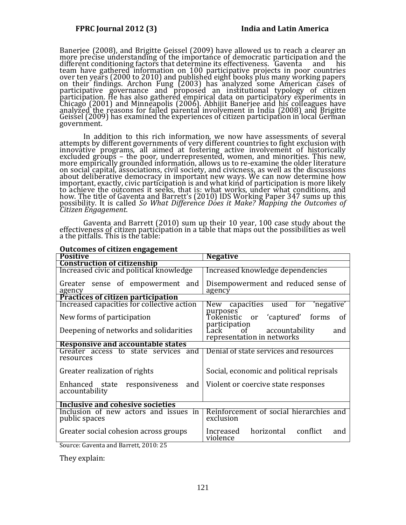Banerjee (2008), and Brigitte Geissel (2009) have allowed us to reach a clearer an more precise understanding of the importance of democratic participation and the different conditioning factors that determine its effectiveness. Gaventa and his team have gathered information on 100 participative projects in poor countries over ten years (2000 to 2010) and published eight books plus many working papers on their findings. Archon Fung (2003) has analyzed some American cases of participative governance and proposed an institutional typology of citizen participation. He has also gathered empirical data on participatory experiments in Chicago (2001) and Minneapolis (2006). Abhijit Banerjee and his colleagues have analyzed the reasons for failed parental involvement in India (2008) and Brigitte Geissel (2009) has examined the experiences of citizen participation in local German government.

In addition to this rich information, we now have assessments of several attempts by different governments of very different countries to fight exclusion with innovative programs, all aimed at fostering active involvement of historically excluded groups – the poor, underrepresented, women, and minorities. This new, more empirically grounded information, allows us to re-examine the older literature on social capital, associations, civil society, and civicness, as well as the discussions about deliberative democracy in important new ways. We can now determine how important, exactly, civic participation is and what kind of participation is more likely to achieve the outcomes it seeks, that is: what works, under what conditions, and how. The title of Gaventa and Barrett's (2010) IDS Working Paper 347 sums up this possibility. It is called *So What Difference Does it Make? Mapping the Outcomes of Citizen Engagement*.

Gaventa and Barrett (2010) sum up their 10 year, 100 case study about the effectiveness of citizen participation in a table that maps out the possibilities as well a the pitfalls. This is the table:

| <b>Positive</b>                                        | <b>Negative</b>                                                                 |
|--------------------------------------------------------|---------------------------------------------------------------------------------|
| <b>Construction of citizenship</b>                     |                                                                                 |
| Increased civic and political knowledge                | Increased knowledge dependencies                                                |
| Greater sense of empowerment and<br>agency             | Disempowerment and reduced sense of<br>agency                                   |
| <b>Practices of citizen participation</b>              |                                                                                 |
| Increased capacities for collective action             | New capacities used for<br>'negative'                                           |
| New forms of participation                             | purposes<br>Tokenistic or 'captured'<br>forms<br><sub>of</sub>                  |
| Deepening of networks and solidarities                 | participation<br>accountability<br>Lack of<br>and<br>representation in networks |
| Responsive and accountable states                      |                                                                                 |
| Greater access to state services and<br>resources      | Denial of state services and resources                                          |
| Greater realization of rights                          | Social, economic and political reprisals                                        |
| Enhanced state responsiveness<br>and<br>accountability | Violent or coercive state responses                                             |
| Inclusive and cohesive societies                       |                                                                                 |
| Inclusion of new actors and issues in<br>public spaces | Reinforcement of social hierarchies and<br>exclusion                            |
| Greater social cohesion across groups                  | Increased horizontal conflict<br>and<br>violence                                |

### **Outcomes of citizen engagement**

Source: Gaventa and Barrett, 2010: 25

They explain: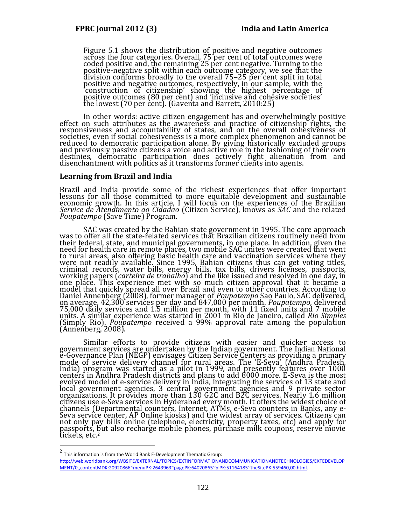Figure 5.1 shows the distribution of positive and negative outcomes across the four categories. Overall, 75 per cent of total outcomes were coded positive and, the remaining 25 per cent negative. Turning to the positive-negative split within each outcome category, we see that the division conforms broadly to the overall 75–25 per cent split in total positive and negative outcomes, respectively, in our sample, with the 'construction of citizenship' showing the highest percentage of positive outcomes (80 per cent) and 'inclusive and cohesive societies' the lowest (70 per cent). (Gaventa and Barrett, 2010:25)

In other words: active citizen engagement has and overwhelmingly positive effect on such attributes as the awareness and practice of citizenship rights, the responsiveness and accountability of states, and on the overall cohesiveness of societies, even if social cohesiveness is a more complex phenomenon and cannot be reduced to democratic participation alone. By giving historically excluded groups and previously passive citizens a voice and active role in the fashioning of their own destinies, democratic participation does actively fight alienation from and disenchantment with politics as it transforms former clients into agents.

#### **Learning from Brazil and India**

 $\overline{a}$ 

Brazil and India provide some of the richest experiences that offer important lessons for all those committed to more equitable development and sustainable economic growth. In this article, I will focus on the experiences of the Brazilian *Service de Atendimento ao Cidadao* (Citizen Service), knows as *SAC* and the related *Poupatempo* (Save Time) Program.

SAC was created by the Bahian state government in 1995. The core approach was to offer all the state-related services that Brazilian citizens routinely need from was to offer all the state-related services that Brazilian citizens routinely need from their federal, state, and municipal governments, in one place. In addition, given the need for health care in remote places, two mobile SAC unites were created that went to rural areas, also offering basic health care and vaccination services where they were not readily available. Since 1995, Bahian citizens thus can get voting titles, criminal records, water bills, energy bills, tax bills, drivers licenses, passports, working papers (*carteira de trabalho*) and the like issued and resolved in one day, in one place. This experience met with so much citizen approval that it became a model that quickly spread all over Brazil and even to other countries. According to Daniel Annenberg (2008), former manager of *Poupatempo* Sao Paulo, SAC delivered, on average, 42,300 services per day and 847,000 per month. *Poupatempo*, delivered 75,000 daily services and 1.5 million per month, with 11 fixed units and 7 mobile units. A similar experience was started in 2001 in Rio de Janeiro, called *Rio Simples* (Simply Rio). *Poupatempo* received a 99% approval rate among the population (Annenberg, 2008).

Similar efforts to provide citizens with easier and quicker access to government services are undertaken by the Indian government. The Indian National e-Governance Plan (NEGP) envisages Citizen Service Centers as providing a primary mode of service delivery channel for rural areas. The 'E-Seva' (Andhra Pradesh, India) program was started as a pilot in 1999, and presently features over 1000 centers in Andhra Pradesh districts and plans to add 8000 more. E-Seva is the most evolved model of e-service delivery in India, integrating the services of 13 state and local government agencies, 3 central government agencies and 9 private sector organizations. It provides more than 130 G2C and B2C services. Nearly 1.6 million citizens use e-Seva services in Hyderabad every month. It offers the widest choice of channels (Departmental counters, Internet, ATMs, e-Seva counters in Banks, any e-Seva service center, AP Online kiosks) and the widest array of services. Citizens can not only pay bills online (telephone, electricity, property taxes, etc) and apply for passports, but also recharge mobile phones, purchase milk coupons, reserve movie tickets, etc.<sup>2</sup>

 $^2$  This information is from the World Bank E-Development Thematic Group: [http://web.worldbank.org/WBSITE/EXTERNAL/TOPICS/EXTINFORMATIONANDCOMMUNICATIONANDTECHNOLOGIES/EXTEDEVELOP](http://web.worldbank.org/WBSITE/EXTERNAL/TOPICS/EXTINFORMATIONANDCOMMUNICATIONANDTECHNOLOGIES/EXTEDEVELOPMENT/0,,contentMDK:20920866~menuPK:2643963~pagePK:64020865~piPK:51164185~theSitePK:559460,00.html) [MENT/0,,contentMDK:20920866~menuPK:2643963~pagePK:64020865~piPK:51164185~theSitePK:559460,00.html.](http://web.worldbank.org/WBSITE/EXTERNAL/TOPICS/EXTINFORMATIONANDCOMMUNICATIONANDTECHNOLOGIES/EXTEDEVELOPMENT/0,,contentMDK:20920866~menuPK:2643963~pagePK:64020865~piPK:51164185~theSitePK:559460,00.html)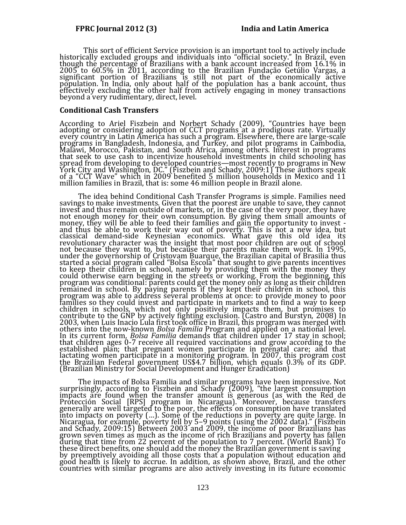This sort of efficient Service provision is an important tool to actively include historically excluded groups and individuals into "official society." In Brazil, even though the percentage of Brazilians with a bank account increased from 16.1% in 2005 to 60.5% in 2011, according to the Brazilian Fundação Getúlio Vargas, a significant portion of Brazilians is still not part of the economically active population. In India, only about half of the population has a bank account, thus effectively excluding the other half from actively engaging in money transactions beyond a very rudimentary, direct, level.

#### **Conditional Cash Transfers**

According to Ariel Fiszbein and Norbert Schady (2009), "Countries have been adopting or considering adoption of CCT programs at a prodigious rate. Virtually every country in Latin America has such a program. Elsewhere, there are large-scale programs in Bangladesh, Indonesia, and Turkey, and pilot programs in Cambodia, Malawi, Morocco, Pakistan, and South Africa, among others. Interest in programs that seek to use cash to incentivize household investments in child schooling has spread from developing to developed countries—most recently to programs in New York City and Washington, DC." (Fiszbein and Schady, 2009:1) These authors speak of a "CCT Wave" which in 2009 benefited 5 million households in Mexico and 11 million families in Brazil, that is: some 46 million people in Brazil alone.

The idea behind Conditional Cash Transfer Programs is simple. Families need savings to make investments. Given that the poorest are unable to save, they cannot invest and thus remain outside of markets, or, in the case of the very poor, they have not enough money for their own consumption. By giving them small amounts of money, they will be able to feed their families and gain the opportunity to invest and thus be able to work their way out of poverty. This is not a new idea, but classical demand-side Keynesian economics. What gave this old idea its revolutionary character was the insight that most poor children are out of school not because they want to, but because their parents make them work. In 1995, under the governorship of Cristovam Buarque, the Brazilian capital of Brasilia thus started a social program called "Bolsa Escola" that sought to give parents incentives to keep their children in school, namely by providing them with the money they could otherwise earn begging in the streets or working. From the beginning, this program was conditional: parents could get the money only as long as their children remained in school. By paying parents if they kept their children in school, this program was able to address several problems at once: to provide money to poor families so they could invest and participate in markets and to find a way to keep children in schools, which not only positively impacts them, but promises to contribute to the GNP by actively fighting exclusion. (Castro and Burstyn, 2008) In 2003, when Luis Inacio Lula first took office in Brazil, this program was merged with others into the now-known *Bolsa Familia* Program and applied on a national level. In its current form, *Bolsa Familia* demands that children under 17 stay in school; that children ages 0-7 receive all required vaccinations and grow according to the established plan; that pregnant women participate in prenatal care; and that lactating women participate in a monitoring program. In 2007, this program cost the Brazilian Federal government US\$4.7 billion, which equals 0.3% of its GDP. (Brazilian Ministry for Social Development and Hunger Eradication)

The impacts of Bolsa Familia and similar programs have been impressive. Not surprisingly, according to Fiszbein and Schady (2009), "the largest consumption impacts are found when the transfer amount is generous (as with the Red de Protección Social [RPS] program in Nicaragua). Moreover, because transfers generally are well targeted to the poor, the effects on consumption have translated into impacts on poverty (…). Some of the reductions in poverty are quite large. In Nicaragua, for example, poverty fell by 5–9 points (using the 2002 data)." (Fiszbein and Schady, 2009:15) Between 2003 and 2009, the income of poor Brazilians has grown seven times as much as the income of rich Brazilians and poverty has fallen during that time from 22 percent of the population to 7 percent. (World Bank) To these direct benefits, one should add the money the Brazilian government is saving by preemptively avoiding all those costs that a population without education and good health is likely to accrue. In addition, as shown above, Brazil, and the other countries with similar programs are also actively investing in its future economic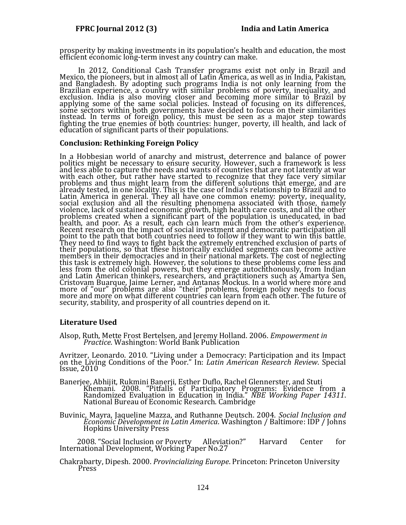prosperity by making investments in its population's health and education, the most efficient economic long-term invest any country can make.

In 2012, Conditional Cash Transfer programs exist not only in Brazil and Mexico, the pioneers, but in almost all of Latin America, as well as in India, Pakistan, and Bangladesh. By adopting such programs India is not only learning from the Brazilian experience, a country with similar problems of poverty, inequality, and exclusion. India is also moving closer and becoming more similar to Brazil by applying some of the same social policies. Instead of focusing on its differences, some sectors within both governments have decided to focus on their similarities instead. In terms of foreign policy, this must be seen as a major step towards fighting the true enemies of both countries: hunger, poverty, ill health, and lack of education of significant parts of their populations.

### **Conclusion: Rethinking Foreign Policy**

In a Hobbesian world of anarchy and mistrust, deterrence and balance of power politics might be necessary to ensure security. However, such a framework is less and less able to capture the needs and wants of countries that are not latently at war with each other, but rather have started to recognize that they face very similar problems and thus might learn from the different solutions that emerge, and are already tested, in one locality. This is the case of India's relationship to Brazil and to Latin America in general. They all have one common enemy: poverty, inequality, social exclusion and all the resulting phenomena associated with those, namely violence, lack of sustained economic growth, high health care costs, and all the other problems created when a significant part of the population is uneducated, in bad health, and poor. As a result, each can learn much from the other's experience. Recent research on the impact of social investment and democratic participation all point to the path that both countries need to follow if they want to win this battle. They need to find ways to fight back the extremely entrenched exclusion of parts of their populations, so that these historically excluded segments can become active members in their democracies and in their national markets. The cost of neglecting this task is extremely high. However, the solutions to these problems come less and less from the old colonial powers, but they emerge autochthonously, from Indian and Latin American thinkers, researchers, and practitioners such as Amartya Sen, Cristovam Buarque, Jaime Lerner, and Antanas Mockus. In a world where more and more of "our" problems are also "their" problems, foreign policy needs to focus more and more on what different countries can learn from each other. The future of security, stability, and prosperity of all countries depend on it.

# **Literature Used**

Alsop, Ruth, Mette Frost Bertelsen, and Jeremy Holland. 2006. *Empowerment in Practice*. Washington: World Bank Publication

Avritzer, Leonardo. 2010. "Living under a Democracy: Participation and its Impact on the Living Conditions of the Poor." In: *Latin American Research Review*. Special Issue, 2010

Banerjee, Abhijit, Rukmini Banerji, Esther Duflo, Rachel Glennerster, and Stuti Khemani. 2008. "Pitfalls of Participatory Programs: Evidence from a Randomized Evaluation in Education in India." *NBE Working Paper 14311*. National Bureau of Economic Research. Cambridge

Buvinic, Mayra, Jaqueline Mazza, and Ruthanne Deutsch. 2004. *Social Inclusion and Economic Development in Latin America*. Washington / Baltimore: IDP / Johns Hopkins University Press

 2008. "Social Inclusion or Poverty Alleviation?" Harvard Center for International Development, Working Paper No.27

Chakrabarty, Dipesh. 2000. *Provincializing Europe*. Princeton: Princeton University Press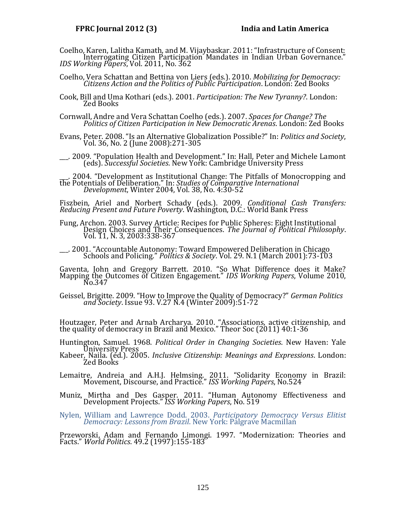- Coelho, Karen, Lalitha Kamath, and M. Vijaybaskar. 2011: "Infrastructure of Consent: Interrogating Citizen Participation Mandates in Indian Urban Governance." *IDS Working Papers*, Vol. 2011, No. 362
- Coelho, Vera Schattan and Bettina von Liers (eds.). 2010. *Mobilizing for Democracy: Citizens Action and the Politics of Public Participation*. London: Zed Books
- Cook, Bill and Uma Kothari (eds.). 2001. *Participation: The New Tyranny?*. London: Zed Books
- Cornwall, Andre and Vera Schattan Coelho (eds.). 2007. *Spaces for Change? The Politics of Citizen Participation in New Democratic Arenas*. London: Zed Books
- Evans, Peter. 2008. "Is an Alternative Globalization Possible?" In: *Politics and Society*, Vol. 36, No. 2 (June 2008):271-305

\_\_\_. 2009. "Population Health and Development." In: Hall, Peter and Michele Lamont (eds). *Successful Societies*. New York: Cambridge University Press

\_\_\_. 2004. "Development as Institutional Change: The Pitfalls of Monocropping and the Potentials of Deliberation." In: *Studies of Comparative International Development*, Winter 2004, Vol. 38, No. 4:30-52

Fiszbein, Ariel and Norbert Schady (eds.). 2009. *Conditional Cash Transfers: Reducing Present and Future Poverty*. Washington, D.C.: World Bank Press

Fung, Archon. 2003. Survey Article: Recipes for Public Spheres: Eight Institutional Design Choices and Their Consequences. *The Journal of Political Philosophy*. Vol. 11, N. 3, 2003:338-367

\_\_\_. 2001. "Accountable Autonomy: Toward Empowered Deliberation in Chicago Schools and Policing." *Politics & Society*. Vol. 29. N.1 (March 2001):73-103

Gaventa, John and Gregory Barrett. 2010. "So What Difference does it Make? Mapping the Outcomes of Citizen Engagement." *IDS Working Papers*, Volume 2010, No.347

Geissel, Brigitte. 2009. "How to Improve the Quality of Democracy?" *German Politics and Society*. Issue 93. V.27 N.4 (Winter 2009):51-72

Houtzager, Peter and Arnab Archarya. 2010. "Associations, active citizenship, and the quality of democracy in Brazil and Mexico." Theor Soc (2011) 40:1-36

Huntington, Samuel. 1968. *Political Order in Changing Societies*. New Haven: Yale University Press

- Kabeer, Naila. (ed.). 2005. *Inclusive Citizenship: Meanings and Expressions*. London: Zed Books
- Lemaitre, Andreia and A.H.J. Helmsing. 2011. "Solidarity Economy in Brazil: Movement, Discourse, and Practice." *ISS Working Papers*, No.524
- Muniz, Mirtha and Des Gasper. 2011. "Human Autonomy Effectiveness and Development Projects." *ISS Working Papers*, No. 519

Nylen, William and Lawrence Dodd. 2003. *Participatory Democracy Versus Elitist Democracy: Lessons from Brazil*. New York: Palgrave Macmillan

Przeworski, Adam and Fernando Limongi. 1997. "Modernization: Theories and Facts." *World Politics*. 49.2 (1997):155-183